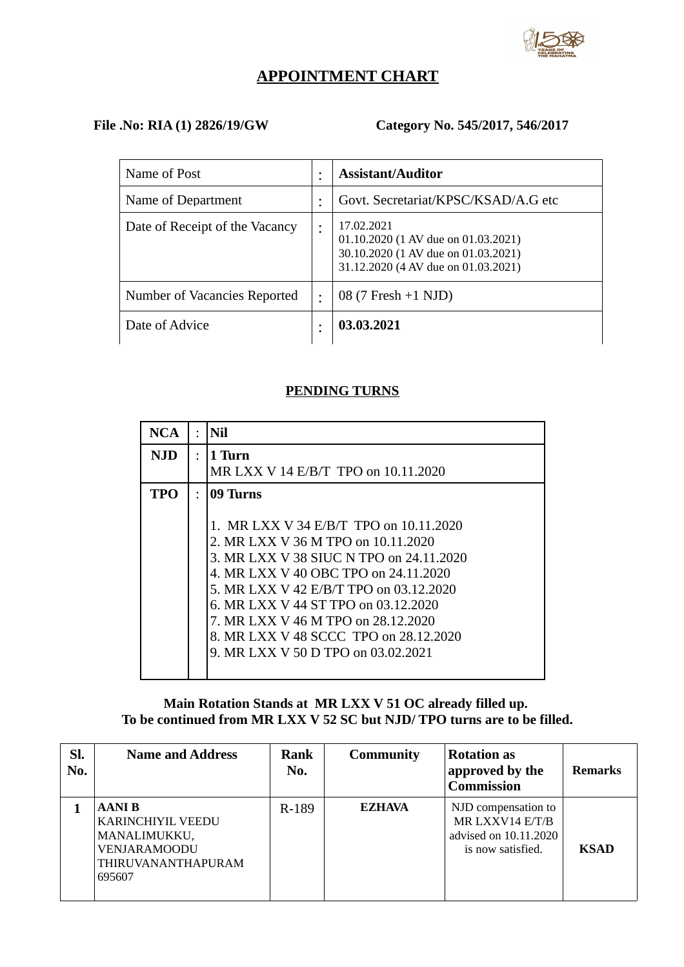

# **APPOINTMENT CHART**

# **File .No: RIA (1) 2826/19/GW Category No. 545/2017, 546/2017**

| Name of Post                   |   | <b>Assistant/Auditor</b>                                                                                                        |
|--------------------------------|---|---------------------------------------------------------------------------------------------------------------------------------|
| Name of Department             |   | Govt. Secretariat/KPSC/KSAD/A.G etc                                                                                             |
| Date of Receipt of the Vacancy | ٠ | 17.02.2021<br>01.10.2020 (1 AV due on 01.03.2021)<br>30.10.2020 (1 AV due on 01.03.2021)<br>31.12.2020 (4 AV due on 01.03.2021) |
| Number of Vacancies Reported   | ٠ | 08 (7 Fresh +1 NJD)                                                                                                             |
| Date of Advice                 | ٠ | 03.03.2021                                                                                                                      |

#### **PENDING TURNS**

| <b>NCA</b> |           | Nil                                     |
|------------|-----------|-----------------------------------------|
| NJD.       | $\bullet$ | 1 Turn                                  |
|            |           | MR LXX V 14 E/B/T TPO on 10.11.2020     |
| TPO        | $\bullet$ | 09 Turns                                |
|            |           |                                         |
|            |           | 1. MR LXX V 34 E/B/T TPO on 10.11.2020  |
|            |           | 2. MR LXX V 36 M TPO on 10.11.2020      |
|            |           | 3. MR LXX V 38 SIUC N TPO on 24.11.2020 |
|            |           | 4. MR LXX V 40 OBC TPO on 24.11.2020    |
|            |           | 5. MR LXX V 42 E/B/T TPO on 03.12.2020  |
|            |           | 6. MR LXX V 44 ST TPO on 03.12.2020     |
|            |           | 7. MR LXX V 46 M TPO on 28.12.2020      |
|            |           | 8. MR LXX V 48 SCCC TPO on 28.12.2020   |
|            |           | 9. MR LXX V 50 D TPO on 03.02.2021      |
|            |           |                                         |

### **Main Rotation Stands at MR LXX V 51 OC already filled up. To be continued from MR LXX V 52 SC but NJD/ TPO turns are to be filled.**

| Sl.<br>No. | <b>Name and Address</b>                                                                            | Rank<br>No. | <b>Community</b> | <b>Rotation as</b><br>approved by the<br><b>Commission</b>                           | <b>Remarks</b> |
|------------|----------------------------------------------------------------------------------------------------|-------------|------------------|--------------------------------------------------------------------------------------|----------------|
|            | AANI B<br>KARINCHIYIL VEEDU<br>MANALIMUKKU,<br><b>VENJARAMOODU</b><br>THIRUVANANTHAPURAM<br>695607 | R-189       | <b>EZHAVA</b>    | NJD compensation to<br>MR LXXV14 E/T/B<br>advised on 10.11.2020<br>is now satisfied. | <b>KSAD</b>    |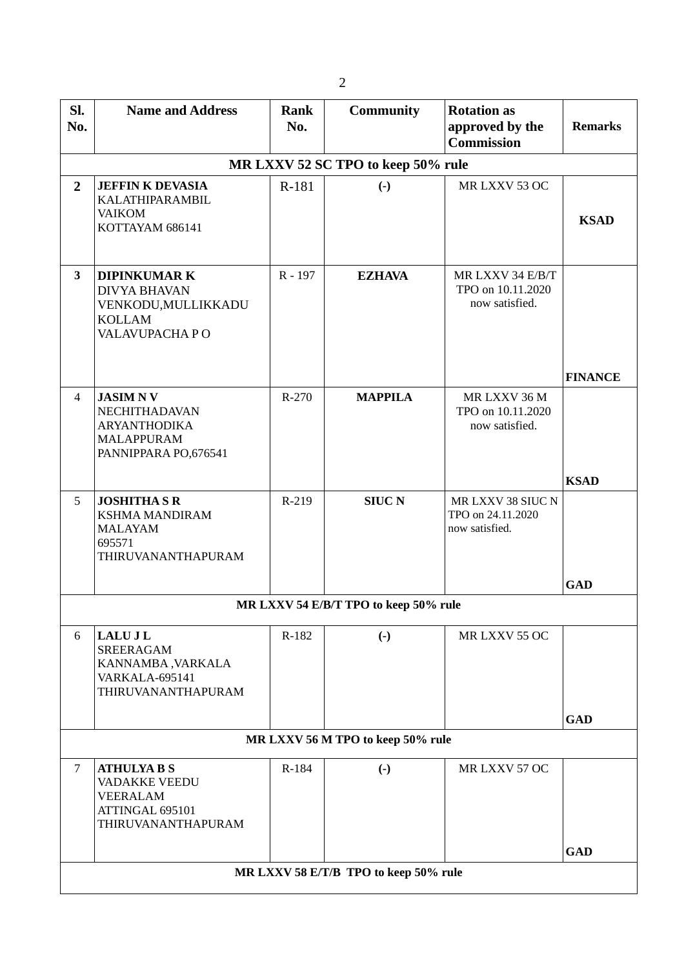| Sl.<br>No.                        | <b>Name and Address</b>                                                                                    | <b>Rank</b><br>No. | <b>Community</b>                      | <b>Rotation as</b><br>approved by the<br><b>Commission</b> | <b>Remarks</b> |  |  |  |  |  |
|-----------------------------------|------------------------------------------------------------------------------------------------------------|--------------------|---------------------------------------|------------------------------------------------------------|----------------|--|--|--|--|--|
|                                   | MR LXXV 52 SC TPO to keep 50% rule                                                                         |                    |                                       |                                                            |                |  |  |  |  |  |
| $\overline{2}$                    | <b>JEFFIN K DEVASIA</b><br>KALATHIPARAMBIL<br><b>VAIKOM</b><br>KOTTAYAM 686141                             | R-181              | $\left( \cdot \right)$                | MR LXXV 53 OC                                              | <b>KSAD</b>    |  |  |  |  |  |
| 3                                 | <b>DIPINKUMARK</b><br><b>DIVYA BHAVAN</b><br>VENKODU, MULLIKKADU<br><b>KOLLAM</b><br>VALAVUPACHA PO        | R-197              | <b>EZHAVA</b>                         | MR LXXV 34 E/B/T<br>TPO on 10.11.2020<br>now satisfied.    | <b>FINANCE</b> |  |  |  |  |  |
| $\overline{4}$                    | <b>JASIMNV</b><br><b>NECHITHADAVAN</b><br><b>ARYANTHODIKA</b><br><b>MALAPPURAM</b><br>PANNIPPARA PO,676541 | R-270              | <b>MAPPILA</b>                        | MR LXXV 36 M<br>TPO on 10.11.2020<br>now satisfied.        | <b>KSAD</b>    |  |  |  |  |  |
| 5                                 | <b>JOSHITHA S R</b><br><b>KSHMA MANDIRAM</b><br><b>MALAYAM</b><br>695571<br>THIRUVANANTHAPURAM             | R-219              | <b>SIUC N</b>                         | MR LXXV 38 SIUC N<br>TPO on 24.11.2020<br>now satisfied.   | <b>GAD</b>     |  |  |  |  |  |
|                                   |                                                                                                            |                    | MR LXXV 54 E/B/T TPO to keep 50% rule |                                                            |                |  |  |  |  |  |
| 6                                 | <b>LALUJL</b><br><b>SREERAGAM</b><br>KANNAMBA, VARKALA<br><b>VARKALA-695141</b><br>THIRUVANANTHAPURAM      | R-182              | $\left( -\right)$                     | MR LXXV 55 OC                                              |                |  |  |  |  |  |
|                                   |                                                                                                            |                    |                                       |                                                            | <b>GAD</b>     |  |  |  |  |  |
| MR LXXV 56 M TPO to keep 50% rule |                                                                                                            |                    |                                       |                                                            |                |  |  |  |  |  |
| $\overline{7}$                    | <b>ATHULYA B S</b><br><b>VADAKKE VEEDU</b><br><b>VEERALAM</b><br>ATTINGAL 695101<br>THIRUVANANTHAPURAM     | R-184              | $\left( -\right)$                     | MR LXXV 57 OC                                              |                |  |  |  |  |  |
|                                   |                                                                                                            |                    | MR LXXV 58 E/T/B TPO to keep 50% rule |                                                            | <b>GAD</b>     |  |  |  |  |  |
|                                   |                                                                                                            |                    |                                       |                                                            |                |  |  |  |  |  |